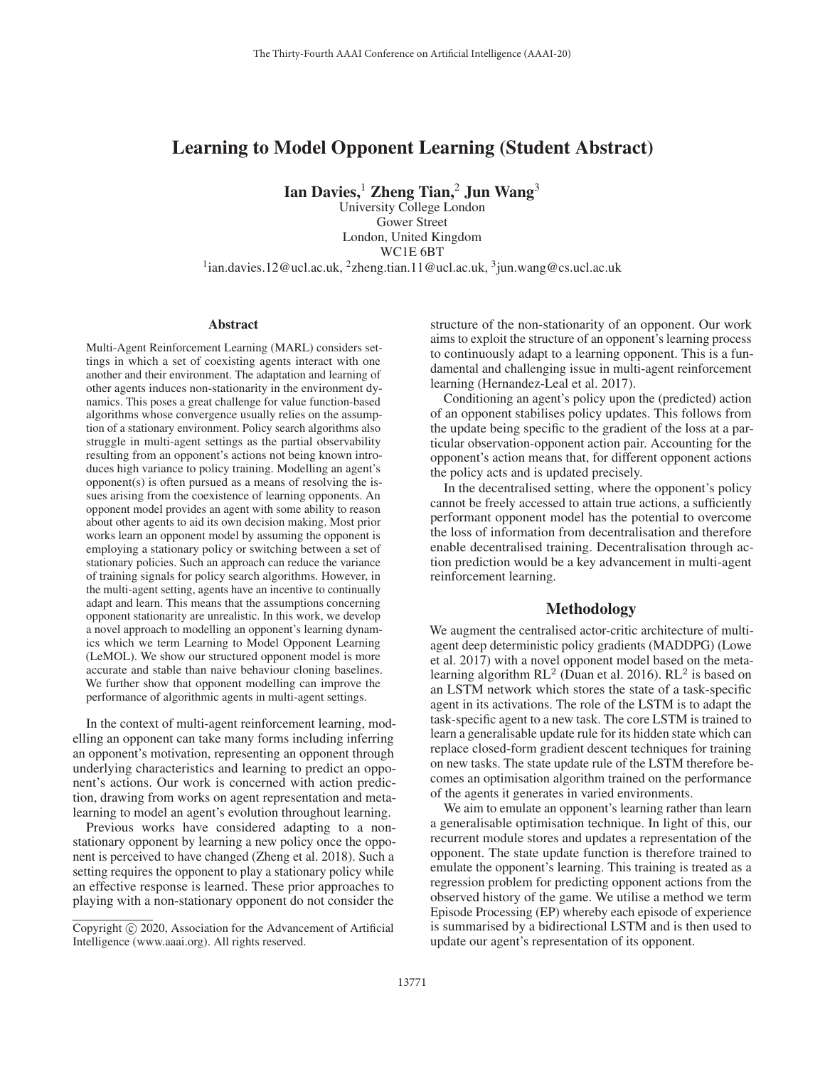# Learning to Model Opponent Learning (Student Abstract)

Ian Davies,<sup>1</sup> Zheng Tian,<sup>2</sup> Jun Wang<sup>3</sup>

University College London Gower Street London, United Kingdom WC1E 6BT

<sup>1</sup>ian.davies.12@ucl.ac.uk, <sup>2</sup>zheng.tian.11@ucl.ac.uk, <sup>3</sup>jun.wang@cs.ucl.ac.uk

## Abstract

Multi-Agent Reinforcement Learning (MARL) considers settings in which a set of coexisting agents interact with one another and their environment. The adaptation and learning of other agents induces non-stationarity in the environment dynamics. This poses a great challenge for value function-based algorithms whose convergence usually relies on the assumption of a stationary environment. Policy search algorithms also struggle in multi-agent settings as the partial observability resulting from an opponent's actions not being known introduces high variance to policy training. Modelling an agent's opponent(s) is often pursued as a means of resolving the issues arising from the coexistence of learning opponents. An opponent model provides an agent with some ability to reason about other agents to aid its own decision making. Most prior works learn an opponent model by assuming the opponent is employing a stationary policy or switching between a set of stationary policies. Such an approach can reduce the variance of training signals for policy search algorithms. However, in the multi-agent setting, agents have an incentive to continually adapt and learn. This means that the assumptions concerning opponent stationarity are unrealistic. In this work, we develop a novel approach to modelling an opponent's learning dynamics which we term Learning to Model Opponent Learning (LeMOL). We show our structured opponent model is more accurate and stable than naive behaviour cloning baselines. We further show that opponent modelling can improve the performance of algorithmic agents in multi-agent settings.

In the context of multi-agent reinforcement learning, modelling an opponent can take many forms including inferring an opponent's motivation, representing an opponent through underlying characteristics and learning to predict an opponent's actions. Our work is concerned with action prediction, drawing from works on agent representation and metalearning to model an agent's evolution throughout learning.

Previous works have considered adapting to a nonstationary opponent by learning a new policy once the opponent is perceived to have changed (Zheng et al. 2018). Such a setting requires the opponent to play a stationary policy while an effective response is learned. These prior approaches to playing with a non-stationary opponent do not consider the

structure of the non-stationarity of an opponent. Our work aims to exploit the structure of an opponent's learning process to continuously adapt to a learning opponent. This is a fundamental and challenging issue in multi-agent reinforcement learning (Hernandez-Leal et al. 2017).

Conditioning an agent's policy upon the (predicted) action of an opponent stabilises policy updates. This follows from the update being specific to the gradient of the loss at a particular observation-opponent action pair. Accounting for the opponent's action means that, for different opponent actions the policy acts and is updated precisely.

In the decentralised setting, where the opponent's policy cannot be freely accessed to attain true actions, a sufficiently performant opponent model has the potential to overcome the loss of information from decentralisation and therefore enable decentralised training. Decentralisation through action prediction would be a key advancement in multi-agent reinforcement learning.

# Methodology

We augment the centralised actor-critic architecture of multiagent deep deterministic policy gradients (MADDPG) (Lowe et al. 2017) with a novel opponent model based on the metalearning algorithm  $RL<sup>2</sup>$  (Duan et al. 2016).  $RL<sup>2</sup>$  is based on an LSTM network which stores the state of a task-specific agent in its activations. The role of the LSTM is to adapt the task-specific agent to a new task. The core LSTM is trained to learn a generalisable update rule for its hidden state which can replace closed-form gradient descent techniques for training on new tasks. The state update rule of the LSTM therefore becomes an optimisation algorithm trained on the performance of the agents it generates in varied environments.

We aim to emulate an opponent's learning rather than learn a generalisable optimisation technique. In light of this, our recurrent module stores and updates a representation of the opponent. The state update function is therefore trained to emulate the opponent's learning. This training is treated as a regression problem for predicting opponent actions from the observed history of the game. We utilise a method we term Episode Processing (EP) whereby each episode of experience is summarised by a bidirectional LSTM and is then used to update our agent's representation of its opponent.

Copyright  $\odot$  2020, Association for the Advancement of Artificial Intelligence (www.aaai.org). All rights reserved.